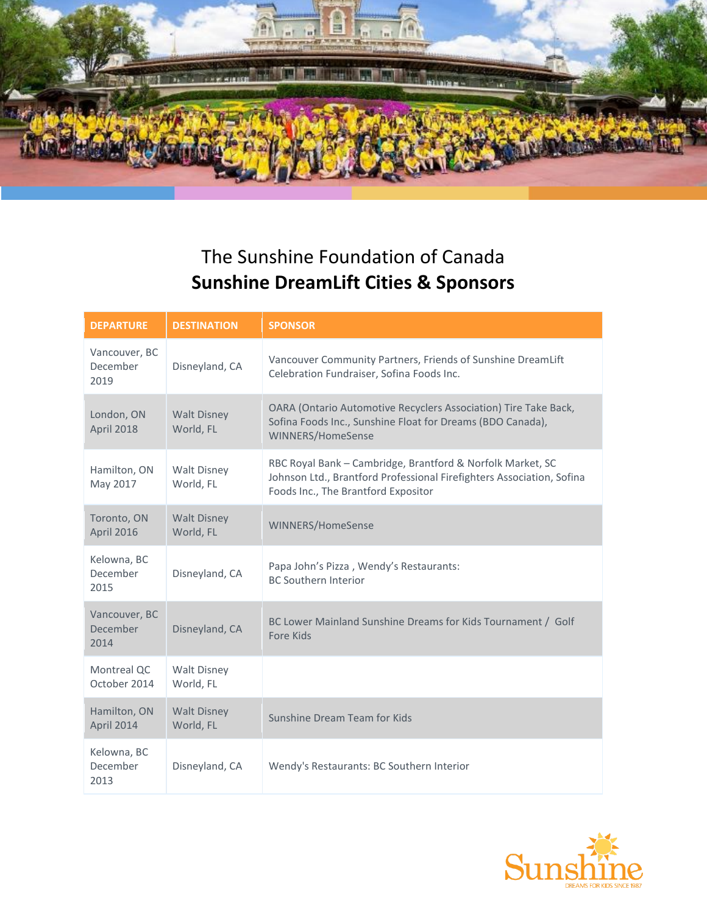

## The Sunshine Foundation of Canada **Sunshine DreamLift Cities & Sponsors**

| <b>DEPARTURE</b>                  | <b>DESTINATION</b>              | <b>SPONSOR</b>                                                                                                                                                             |
|-----------------------------------|---------------------------------|----------------------------------------------------------------------------------------------------------------------------------------------------------------------------|
| Vancouver, BC<br>December<br>2019 | Disneyland, CA                  | Vancouver Community Partners, Friends of Sunshine DreamLift<br>Celebration Fundraiser, Sofina Foods Inc.                                                                   |
| London, ON<br>April 2018          | <b>Walt Disney</b><br>World, FL | OARA (Ontario Automotive Recyclers Association) Tire Take Back,<br>Sofina Foods Inc., Sunshine Float for Dreams (BDO Canada),<br>WINNERS/HomeSense                         |
| Hamilton, ON<br>May 2017          | <b>Walt Disney</b><br>World, FL | RBC Royal Bank - Cambridge, Brantford & Norfolk Market, SC<br>Johnson Ltd., Brantford Professional Firefighters Association, Sofina<br>Foods Inc., The Brantford Expositor |
| Toronto, ON<br>April 2016         | <b>Walt Disney</b><br>World, FL | WINNERS/HomeSense                                                                                                                                                          |
| Kelowna, BC<br>December<br>2015   | Disneyland, CA                  | Papa John's Pizza, Wendy's Restaurants:<br><b>BC Southern Interior</b>                                                                                                     |
| Vancouver, BC<br>December<br>2014 | Disneyland, CA                  | BC Lower Mainland Sunshine Dreams for Kids Tournament / Golf<br>Fore Kids                                                                                                  |
| Montreal QC<br>October 2014       | <b>Walt Disney</b><br>World, FL |                                                                                                                                                                            |
| Hamilton, ON<br>April 2014        | <b>Walt Disney</b><br>World, FL | Sunshine Dream Team for Kids                                                                                                                                               |
| Kelowna, BC<br>December<br>2013   | Disneyland, CA                  | Wendy's Restaurants: BC Southern Interior                                                                                                                                  |

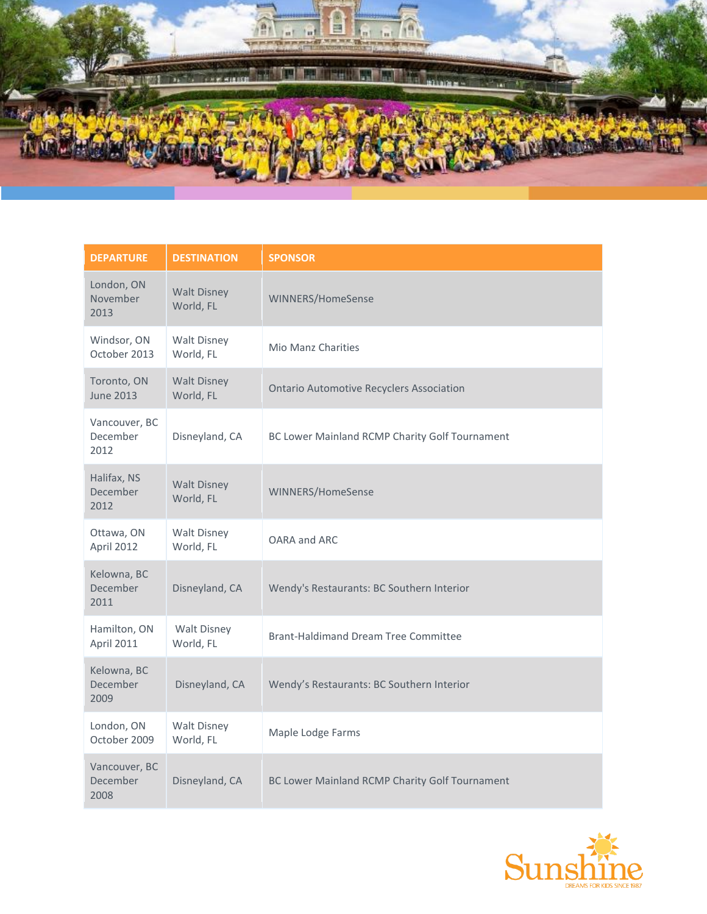

| <b>DEPARTURE</b>                  | <b>DESTINATION</b>              | <b>SPONSOR</b>                                  |
|-----------------------------------|---------------------------------|-------------------------------------------------|
| London, ON<br>November<br>2013    | <b>Walt Disney</b><br>World, FL | WINNERS/HomeSense                               |
| Windsor, ON<br>October 2013       | <b>Walt Disney</b><br>World, FL | Mio Manz Charities                              |
| Toronto, ON<br><b>June 2013</b>   | <b>Walt Disney</b><br>World, FL | <b>Ontario Automotive Recyclers Association</b> |
| Vancouver, BC<br>December<br>2012 | Disneyland, CA                  | BC Lower Mainland RCMP Charity Golf Tournament  |
| Halifax, NS<br>December<br>2012   | <b>Walt Disney</b><br>World, FL | WINNERS/HomeSense                               |
| Ottawa, ON<br>April 2012          | <b>Walt Disney</b><br>World, FL | OARA and ARC                                    |
| Kelowna, BC<br>December<br>2011   | Disneyland, CA                  | Wendy's Restaurants: BC Southern Interior       |
| Hamilton, ON<br>April 2011        | Walt Disney<br>World, FL        | <b>Brant-Haldimand Dream Tree Committee</b>     |
| Kelowna, BC<br>December<br>2009   | Disneyland, CA                  | Wendy's Restaurants: BC Southern Interior       |
| London, ON<br>October 2009        | <b>Walt Disney</b><br>World, FL | Maple Lodge Farms                               |
| Vancouver, BC<br>December<br>2008 | Disneyland, CA                  | BC Lower Mainland RCMP Charity Golf Tournament  |

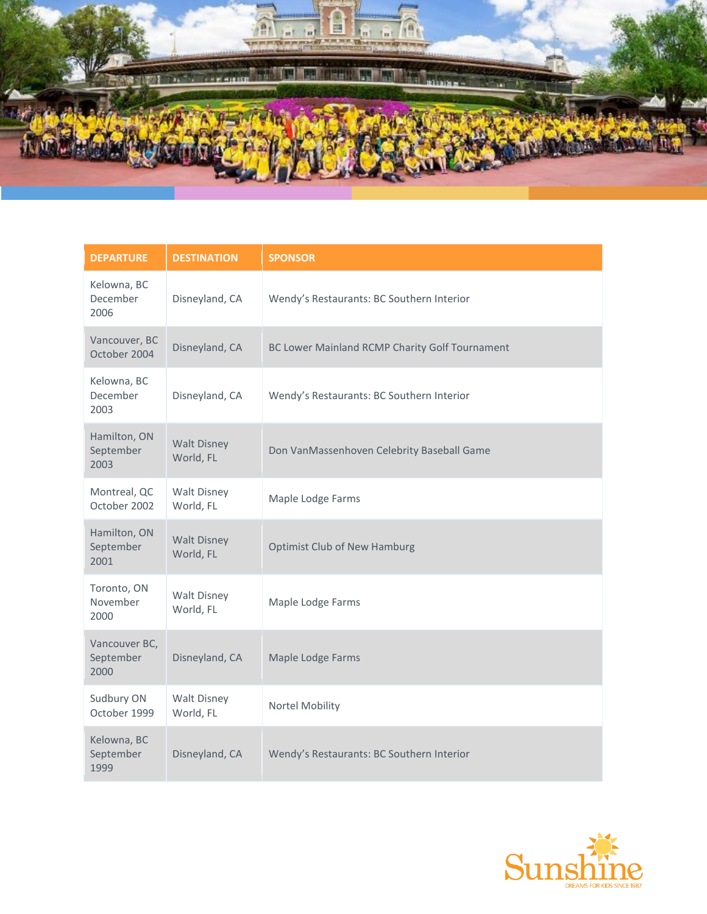

| <b>DEPARTURE</b>                   | <b>DESTINATION</b>              | <b>SPONSOR</b>                                 |
|------------------------------------|---------------------------------|------------------------------------------------|
| Kelowna, BC<br>December<br>2006    | Disneyland, CA                  | Wendy's Restaurants: BC Southern Interior      |
| Vancouver, BC<br>October 2004      | Disneyland, CA                  | BC Lower Mainland RCMP Charity Golf Tournament |
| Kelowna, BC<br>December<br>2003    | Disneyland, CA                  | Wendy's Restaurants: BC Southern Interior      |
| Hamilton, ON<br>September<br>2003  | <b>Walt Disney</b><br>World, FL | Don VanMassenhoven Celebrity Baseball Game     |
| Montreal, QC<br>October 2002       | <b>Walt Disney</b><br>World, FL | Maple Lodge Farms                              |
| Hamilton, ON<br>September<br>2001  | <b>Walt Disney</b><br>World, FL | <b>Optimist Club of New Hamburg</b>            |
| Toronto, ON<br>November<br>2000    | <b>Walt Disney</b><br>World, FL | Maple Lodge Farms                              |
| Vancouver BC,<br>September<br>2000 | Disneyland, CA                  | Maple Lodge Farms                              |
| Sudbury ON<br>October 1999         | <b>Walt Disney</b><br>World, FL | Nortel Mobility                                |
| Kelowna, BC<br>September<br>1999   | Disneyland, CA                  | Wendy's Restaurants: BC Southern Interior      |

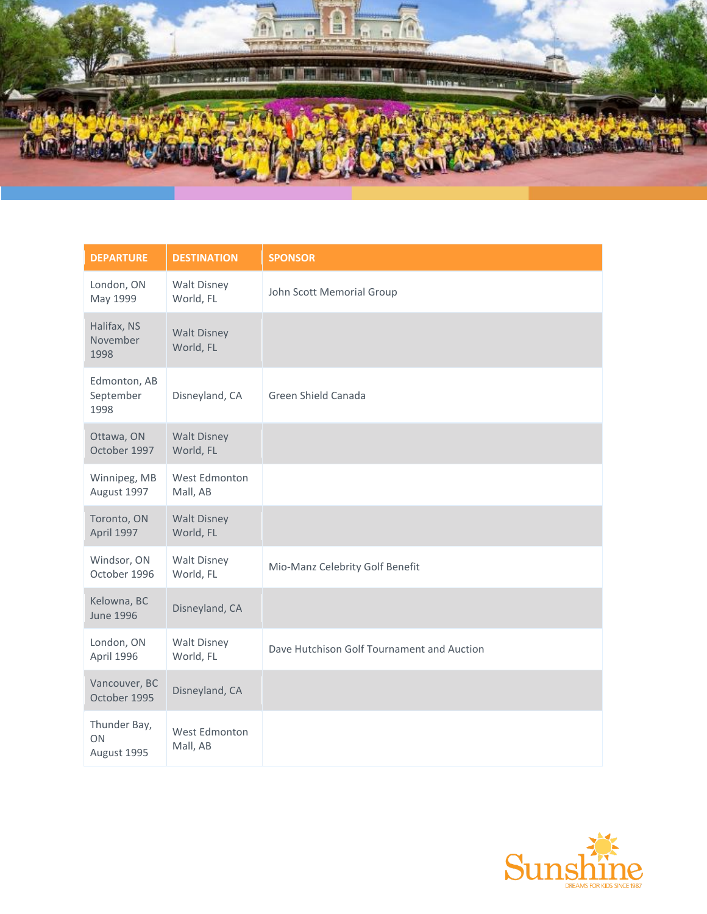

| <b>DEPARTURE</b>                  | <b>DESTINATION</b>              | <b>SPONSOR</b>                             |
|-----------------------------------|---------------------------------|--------------------------------------------|
| London, ON<br>May 1999            | <b>Walt Disney</b><br>World, FL | John Scott Memorial Group                  |
| Halifax, NS<br>November<br>1998   | <b>Walt Disney</b><br>World, FL |                                            |
| Edmonton, AB<br>September<br>1998 | Disneyland, CA                  | Green Shield Canada                        |
| Ottawa, ON<br>October 1997        | <b>Walt Disney</b><br>World, FL |                                            |
| Winnipeg, MB<br>August 1997       | West Edmonton<br>Mall, AB       |                                            |
| Toronto, ON<br>April 1997         | <b>Walt Disney</b><br>World, FL |                                            |
| Windsor, ON<br>October 1996       | <b>Walt Disney</b><br>World, FL | Mio-Manz Celebrity Golf Benefit            |
| Kelowna, BC<br><b>June 1996</b>   | Disneyland, CA                  |                                            |
| London, ON<br>April 1996          | <b>Walt Disney</b><br>World, FL | Dave Hutchison Golf Tournament and Auction |
| Vancouver, BC<br>October 1995     | Disneyland, CA                  |                                            |
| Thunder Bay,<br>ON<br>August 1995 | West Edmonton<br>Mall, AB       |                                            |

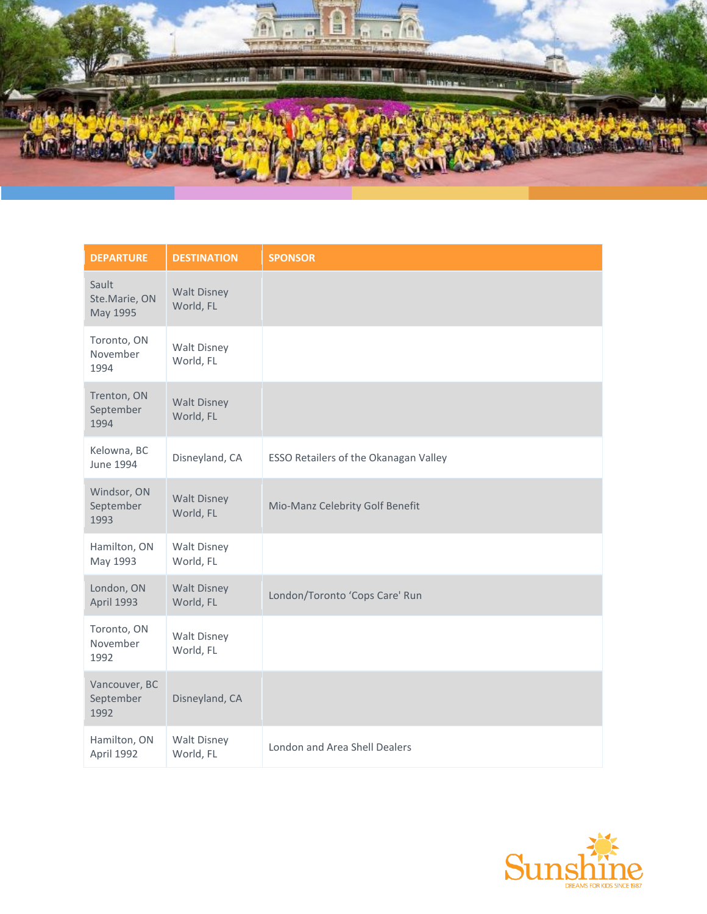

| <b>DEPARTURE</b>                   | <b>DESTINATION</b>              | <b>SPONSOR</b>                        |
|------------------------------------|---------------------------------|---------------------------------------|
| Sault<br>Ste.Marie, ON<br>May 1995 | <b>Walt Disney</b><br>World, FL |                                       |
| Toronto, ON<br>November<br>1994    | <b>Walt Disney</b><br>World, FL |                                       |
| Trenton, ON<br>September<br>1994   | <b>Walt Disney</b><br>World, FL |                                       |
| Kelowna, BC<br><b>June 1994</b>    | Disneyland, CA                  | ESSO Retailers of the Okanagan Valley |
| Windsor, ON<br>September<br>1993   | <b>Walt Disney</b><br>World, FL | Mio-Manz Celebrity Golf Benefit       |
| Hamilton, ON<br>May 1993           | <b>Walt Disney</b><br>World, FL |                                       |
| London, ON<br>April 1993           | <b>Walt Disney</b><br>World, FL | London/Toronto 'Cops Care' Run        |
| Toronto, ON<br>November<br>1992    | <b>Walt Disney</b><br>World, FL |                                       |
| Vancouver, BC<br>September<br>1992 | Disneyland, CA                  |                                       |
| Hamilton, ON<br>April 1992         | <b>Walt Disney</b><br>World, FL | London and Area Shell Dealers         |

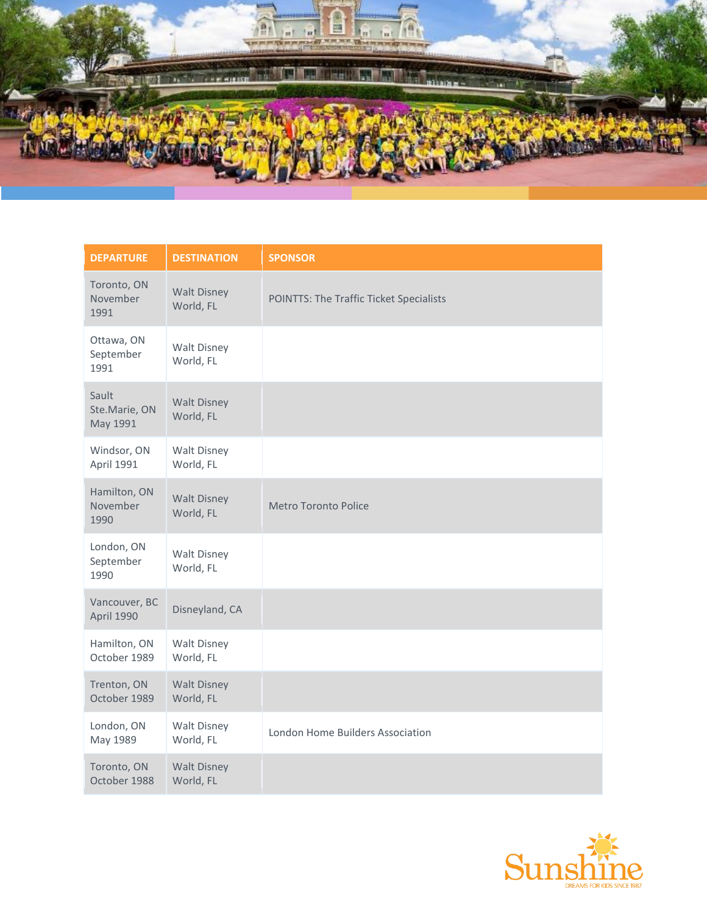

| <b>DEPARTURE</b>                   | <b>DESTINATION</b>              | <b>SPONSOR</b>                          |
|------------------------------------|---------------------------------|-----------------------------------------|
| Toronto, ON<br>November<br>1991    | <b>Walt Disney</b><br>World, FL | POINTTS: The Traffic Ticket Specialists |
| Ottawa, ON<br>September<br>1991    | <b>Walt Disney</b><br>World, FL |                                         |
| Sault<br>Ste.Marie, ON<br>May 1991 | <b>Walt Disney</b><br>World, FL |                                         |
| Windsor, ON<br>April 1991          | <b>Walt Disney</b><br>World, FL |                                         |
| Hamilton, ON<br>November<br>1990   | <b>Walt Disney</b><br>World, FL | Metro Toronto Police                    |
| London, ON<br>September<br>1990    | <b>Walt Disney</b><br>World, FL |                                         |
| Vancouver, BC<br>April 1990        | Disneyland, CA                  |                                         |
| Hamilton, ON<br>October 1989       | <b>Walt Disney</b><br>World, FL |                                         |
| Trenton, ON<br>October 1989        | <b>Walt Disney</b><br>World, FL |                                         |
| London, ON<br>May 1989             | <b>Walt Disney</b><br>World, FL | London Home Builders Association        |
| Toronto, ON<br>October 1988        | <b>Walt Disney</b><br>World, FL |                                         |